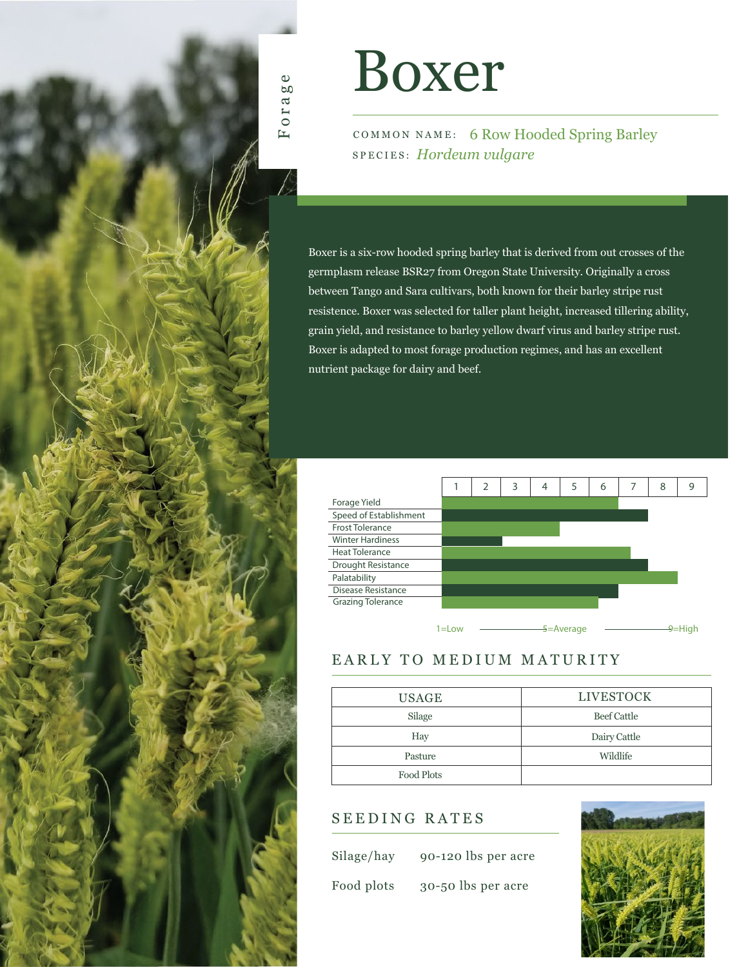

# Boxer

COMMON NAME: 6 Row Hooded Spring Barley SPECIES: *Hordeum vulgare*

Boxer is a six-row hooded spring barley that is derived from out crosses of the germplasm release BSR27 from Oregon State University. Originally a cross between Tango and Sara cultivars, both known for their barley stripe rust resistence. Boxer was selected for taller plant height, increased tillering ability, grain yield, and resistance to barley yellow dwarf virus and barley stripe rust. Boxer is adapted to most forage production regimes, and has an excellent nutrient package for dairy and beef.



## EARLY TO MEDIUM MATURITY

| <b>USAGE</b> | <b>LIVESTOCK</b>   |  |  |  |  |  |
|--------------|--------------------|--|--|--|--|--|
| Silage       | <b>Beef Cattle</b> |  |  |  |  |  |
| Hay          | Dairy Cattle       |  |  |  |  |  |
| Pasture      | Wildlife           |  |  |  |  |  |
| Food Plots   |                    |  |  |  |  |  |

## SEEDING RATES

| Silage/hay | 90-120 lbs per acre |
|------------|---------------------|
| Food plots | 30-50 lbs per acre  |